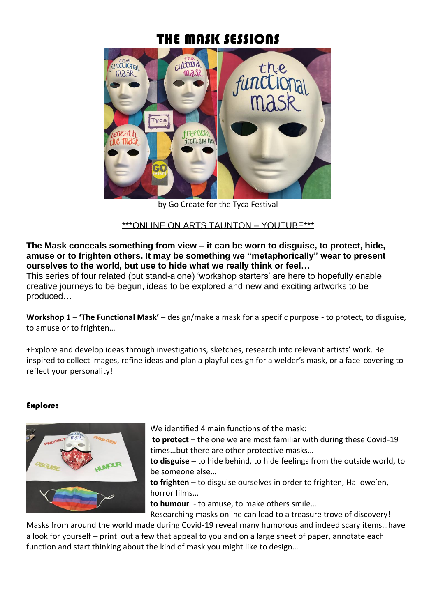# THE MASK SESSIONS



by Go Create for the Tyca Festival

## \*\*\*ONLINE ON ARTS TAUNTON – YOUTUBE\*\*\*

**The Mask conceals something from view – it can be worn to disguise, to protect, hide, amuse or to frighten others. It may be something we "metaphorically" wear to present ourselves to the world, but use to hide what we really think or feel…**

This series of four related (but stand-alone) 'workshop starters' are here to hopefully enable creative journeys to be begun, ideas to be explored and new and exciting artworks to be produced…

**Workshop 1** – **'The Functional Mask'** – design/make a mask for a specific purpose - to protect, to disguise, to amuse or to frighten…

+Explore and develop ideas through investigations, sketches, research into relevant artists' work. Be inspired to collect images, refine ideas and plan a playful design for a welder's mask, or a face-covering to reflect your personality!

## Explore:



We identified 4 main functions of the mask:

**to protect** – the one we are most familiar with during these Covid-19 times…but there are other protective masks…

**to disguise** – to hide behind, to hide feelings from the outside world, to be someone else…

**to frighten** – to disguise ourselves in order to frighten, Hallowe'en, horror films…

**to humour** - to amuse, to make others smile…

Researching masks online can lead to a treasure trove of discovery!

Masks from around the world made during Covid-19 reveal many humorous and indeed scary items…have a look for yourself – print out a few that appeal to you and on a large sheet of paper, annotate each function and start thinking about the kind of mask you might like to design…